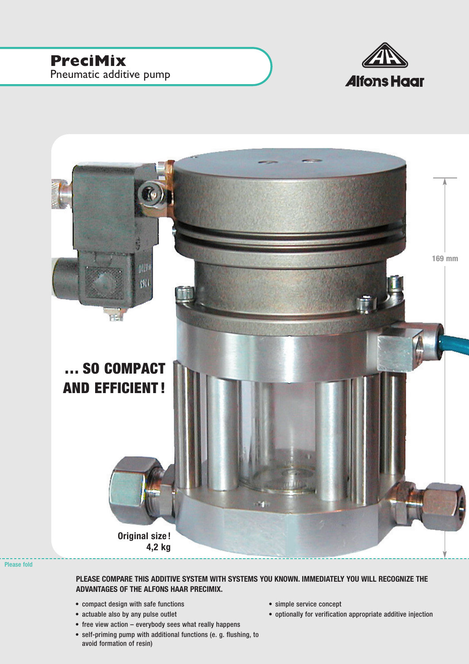



Please fold

## **PLEASE COMPARE THIS ADDITIVE SYSTEM WITH SYSTEMS YOU KNOWN. IMMEDIATELY YOU WILL RECOGNIZE THE ADVANTAGES OF THE ALFONS HAAR PRECIMIX.**

- compact design with safe functions
- actuable also by any pulse outlet
- free view action everybody sees what really happens
- self-priming pump with additional functions (e. g. flushing, to avoid formation of resin)
- simple service concept
- optionally for verification appropriate additive injection